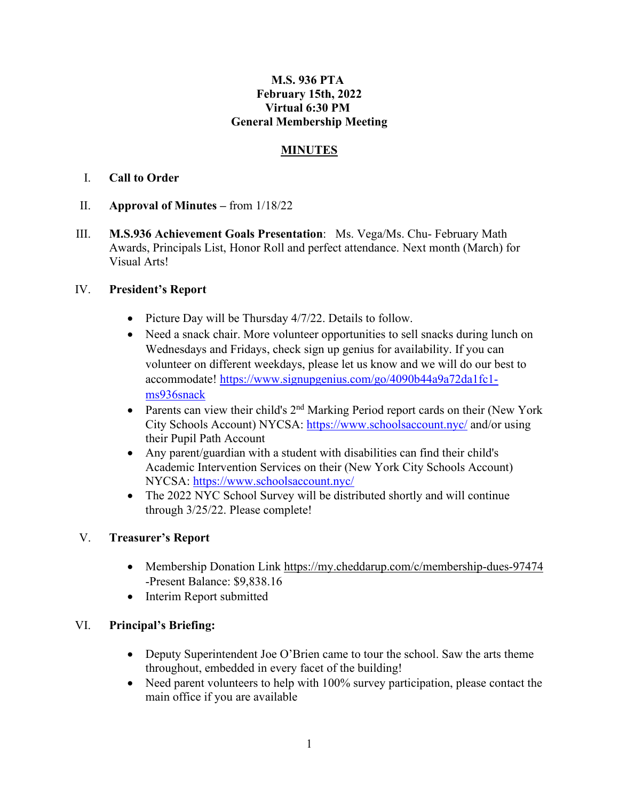### **M.S. 936 PTA February 15th, 2022 Virtual 6:30 PM General Membership Meeting**

### **MINUTES**

## I. **Call to Order**

- II. **Approval of Minutes –** from 1/18/22
- III. **M.S.936 Achievement Goals Presentation**: Ms. Vega/Ms. Chu- February Math Awards, Principals List, Honor Roll and perfect attendance. Next month (March) for Visual Arts!

## IV. **President's Report**

- Picture Day will be Thursday 4/7/22. Details to follow.
- Need a snack chair. More volunteer opportunities to sell snacks during lunch on Wednesdays and Fridays, check sign up genius for availability. If you can volunteer on different weekdays, please let us know and we will do our best to accommodate! [https://www.signupgenius.com/go/4090b44a9a72da1fc1](https://www.signupgenius.com/go/4090b44a9a72da1fc1-ms936snack) [ms936snack](https://www.signupgenius.com/go/4090b44a9a72da1fc1-ms936snack)
- Parents can view their child's  $2<sup>nd</sup>$  Marking Period report cards on their (New York City Schools Account) NYCSA:<https://www.schoolsaccount.nyc/> and/or using their Pupil Path Account
- Any parent/guardian with a student with disabilities can find their child's Academic Intervention Services on their (New York City Schools Account) NYCSA:<https://www.schoolsaccount.nyc/>
- The 2022 NYC School Survey will be distributed shortly and will continue through 3/25/22. Please complete!

# V. **Treasurer's Report**

- Membership Donation Link<https://my.cheddarup.com/c/membership-dues-97474> -Present Balance: \$9,838.16
- Interim Report submitted

### VI. **Principal's Briefing:**

- Deputy Superintendent Joe O'Brien came to tour the school. Saw the arts theme throughout, embedded in every facet of the building!
- Need parent volunteers to help with 100% survey participation, please contact the main office if you are available